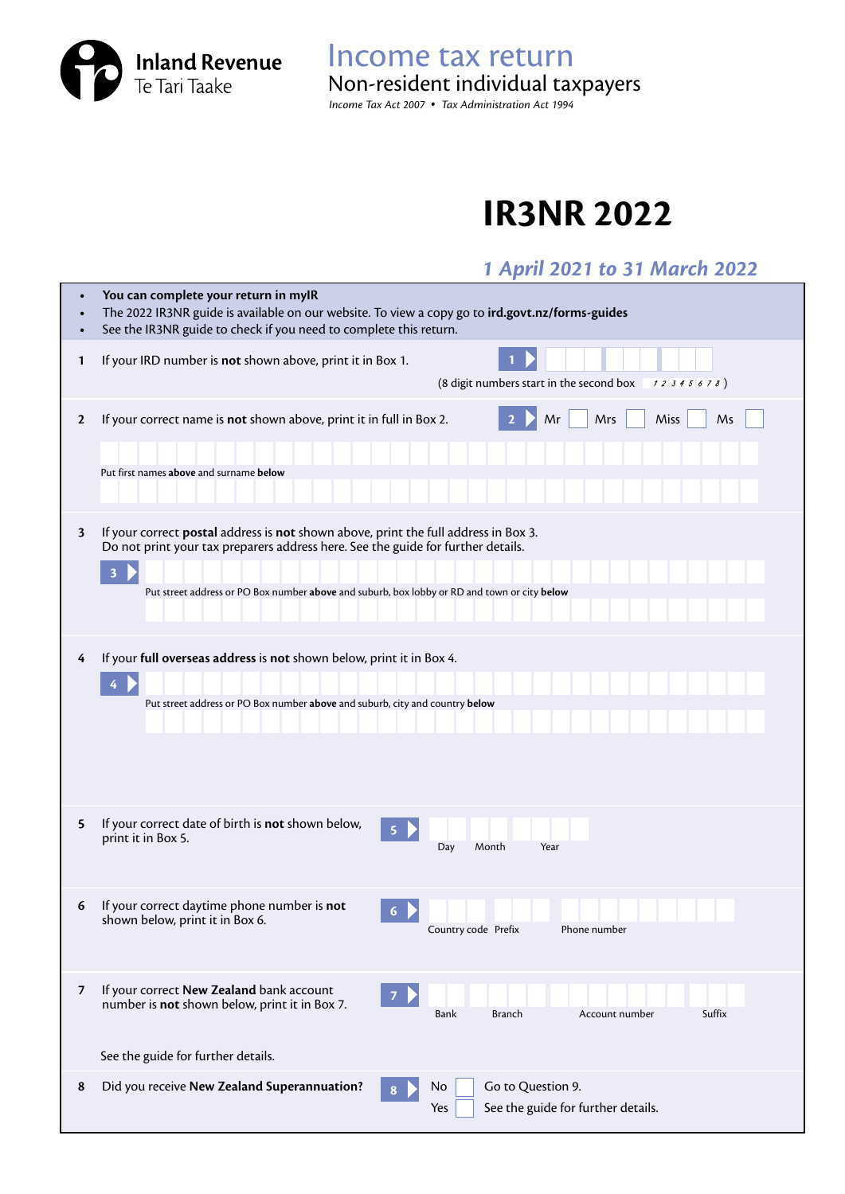**Inland Revenue**<br>Te Tari Taake

Income tax return *Income Tax Act 2007 • Tax Administration Act 1994* Non-resident individual taxpayers

## **IR3NR 2022**

## *1 April 2021 to 31 March 2022*

|                         | You can complete your return in myIR<br>The 2022 IR3NR guide is available on our website. To view a copy go to ird.govt.nz/forms-guides<br>See the IR3NR guide to check if you need to complete this return.                                                                                       |
|-------------------------|----------------------------------------------------------------------------------------------------------------------------------------------------------------------------------------------------------------------------------------------------------------------------------------------------|
| 1                       | If your IRD number is not shown above, print it in Box 1.<br>(8 digit numbers start in the second box<br>12345678)                                                                                                                                                                                 |
| $\mathbf{2}$            | Mrs<br>Miss<br>If your correct name is not shown above, print it in full in Box 2.<br>Mr<br>Ms<br>Put first names above and surname below                                                                                                                                                          |
| $\overline{\mathbf{3}}$ | If your correct postal address is not shown above, print the full address in Box 3.<br>Do not print your tax preparers address here. See the guide for further details.<br>$\overline{\mathbf{3}}$<br>Put street address or PO Box number above and suburb, box lobby or RD and town or city below |
| 4                       | If your full overseas address is not shown below, print it in Box 4.<br>4<br>Put street address or PO Box number above and suburb, city and country below                                                                                                                                          |
| 5                       | If your correct date of birth is not shown below,<br>5<br>print it in Box 5.<br>Month<br>Year<br>Day                                                                                                                                                                                               |
| 6                       | If your correct daytime phone number is not<br>6<br>shown below, print it in Box 6.<br>Country code Prefix<br>Phone number                                                                                                                                                                         |
| $\overline{7}$          | If your correct New Zealand bank account<br>$\overline{7}$<br>number is not shown below, print it in Box 7.<br>Suffix<br>Bank<br><b>Branch</b><br>Account number<br>See the guide for further details.                                                                                             |
| 8                       | Did you receive New Zealand Superannuation?<br>Go to Question 9.<br>No<br>See the guide for further details.<br>Yes                                                                                                                                                                                |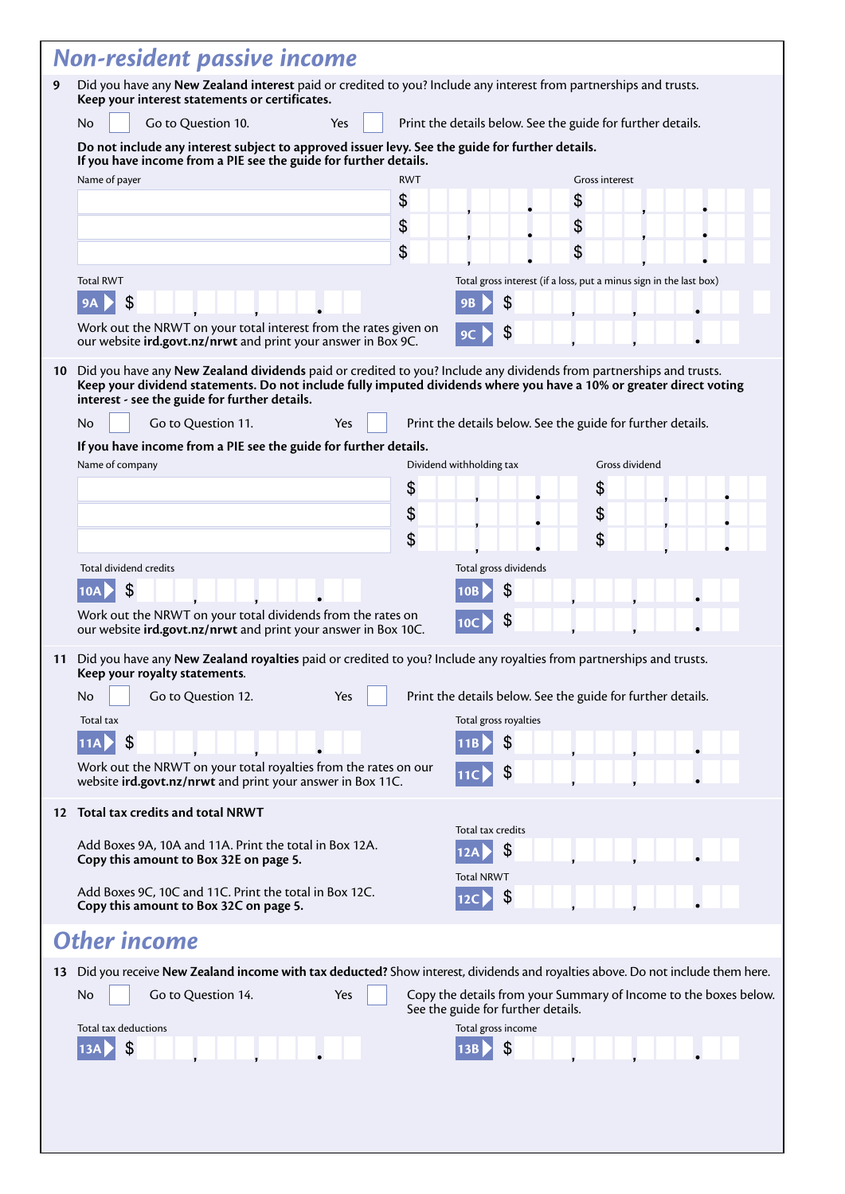|    | <b>Non-resident passive income</b>                                                                                                                                                                                                                                                          |            |                                                             |                                                                    |                                                                  |  |  |
|----|---------------------------------------------------------------------------------------------------------------------------------------------------------------------------------------------------------------------------------------------------------------------------------------------|------------|-------------------------------------------------------------|--------------------------------------------------------------------|------------------------------------------------------------------|--|--|
| 9  | Did you have any New Zealand interest paid or credited to you? Include any interest from partnerships and trusts.<br>Keep your interest statements or certificates.                                                                                                                         |            |                                                             |                                                                    |                                                                  |  |  |
|    | No<br>Go to Question 10.<br>Yes                                                                                                                                                                                                                                                             |            | Print the details below. See the guide for further details. |                                                                    |                                                                  |  |  |
|    | Do not include any interest subject to approved issuer levy. See the guide for further details.<br>If you have income from a PIE see the guide for further details.                                                                                                                         |            |                                                             |                                                                    |                                                                  |  |  |
|    | Name of payer                                                                                                                                                                                                                                                                               | <b>RWT</b> |                                                             | Gross interest                                                     |                                                                  |  |  |
|    |                                                                                                                                                                                                                                                                                             | \$         |                                                             | \$                                                                 |                                                                  |  |  |
|    |                                                                                                                                                                                                                                                                                             | \$         |                                                             | \$                                                                 |                                                                  |  |  |
|    |                                                                                                                                                                                                                                                                                             | \$         |                                                             | \$                                                                 |                                                                  |  |  |
|    | <b>Total RWT</b><br>9A                                                                                                                                                                                                                                                                      |            | \$<br>9Β                                                    | Total gross interest (if a loss, put a minus sign in the last box) |                                                                  |  |  |
|    | Work out the NRWT on your total interest from the rates given on                                                                                                                                                                                                                            |            | \$                                                          |                                                                    |                                                                  |  |  |
|    | our website ird.govt.nz/nrwt and print your answer in Box 9C.                                                                                                                                                                                                                               |            | 9C                                                          |                                                                    |                                                                  |  |  |
| 10 | Did you have any New Zealand dividends paid or credited to you? Include any dividends from partnerships and trusts.<br>Keep your dividend statements. Do not include fully imputed dividends where you have a 10% or greater direct voting<br>interest - see the guide for further details. |            |                                                             |                                                                    |                                                                  |  |  |
|    | Go to Question 11.<br>No<br>Yes                                                                                                                                                                                                                                                             |            | Print the details below. See the guide for further details. |                                                                    |                                                                  |  |  |
|    | If you have income from a PIE see the guide for further details.                                                                                                                                                                                                                            |            |                                                             |                                                                    |                                                                  |  |  |
|    | Name of company                                                                                                                                                                                                                                                                             |            | Dividend withholding tax                                    | Gross dividend                                                     |                                                                  |  |  |
|    |                                                                                                                                                                                                                                                                                             | \$         |                                                             | \$                                                                 |                                                                  |  |  |
|    |                                                                                                                                                                                                                                                                                             | \$         |                                                             | \$                                                                 |                                                                  |  |  |
|    |                                                                                                                                                                                                                                                                                             | \$         |                                                             | \$                                                                 |                                                                  |  |  |
|    | Total dividend credits                                                                                                                                                                                                                                                                      |            | Total gross dividends                                       |                                                                    |                                                                  |  |  |
|    | \$<br>10A                                                                                                                                                                                                                                                                                   |            | \$<br>10В                                                   |                                                                    |                                                                  |  |  |
|    | Work out the NRWT on your total dividends from the rates on                                                                                                                                                                                                                                 |            |                                                             |                                                                    |                                                                  |  |  |
|    | our website ird.govt.nz/nrwt and print your answer in Box 10C.                                                                                                                                                                                                                              |            | \$                                                          |                                                                    |                                                                  |  |  |
| 11 | Did you have any New Zealand royalties paid or credited to you? Include any royalties from partnerships and trusts.<br>Keep your royalty statements.                                                                                                                                        |            |                                                             |                                                                    |                                                                  |  |  |
|    | Go to Question 12.<br>No<br>Yes                                                                                                                                                                                                                                                             |            | Print the details below. See the guide for further details. |                                                                    |                                                                  |  |  |
|    | Total tax                                                                                                                                                                                                                                                                                   |            | Total gross royalties                                       |                                                                    |                                                                  |  |  |
|    | \$<br>11A                                                                                                                                                                                                                                                                                   |            | \$                                                          |                                                                    |                                                                  |  |  |
|    | Work out the NRWT on your total royalties from the rates on our<br>website ird.govt.nz/nrwt and print your answer in Box 11C.                                                                                                                                                               |            | \$                                                          |                                                                    |                                                                  |  |  |
|    | 12 Total tax credits and total NRWT                                                                                                                                                                                                                                                         |            |                                                             |                                                                    |                                                                  |  |  |
|    |                                                                                                                                                                                                                                                                                             |            | Total tax credits                                           |                                                                    |                                                                  |  |  |
|    | Add Boxes 9A, 10A and 11A. Print the total in Box 12A.<br>Copy this amount to Box 32E on page 5.                                                                                                                                                                                            |            | \$<br>12A                                                   |                                                                    |                                                                  |  |  |
|    |                                                                                                                                                                                                                                                                                             |            | <b>Total NRWT</b>                                           |                                                                    |                                                                  |  |  |
|    | Add Boxes 9C, 10C and 11C. Print the total in Box 12C.<br>Copy this amount to Box 32C on page 5.                                                                                                                                                                                            |            | \$<br>12 <sup>C</sup>                                       |                                                                    |                                                                  |  |  |
|    | <b>Other income</b>                                                                                                                                                                                                                                                                         |            |                                                             |                                                                    |                                                                  |  |  |
|    | 13 Did you receive New Zealand income with tax deducted? Show interest, dividends and royalties above. Do not include them here.                                                                                                                                                            |            |                                                             |                                                                    |                                                                  |  |  |
|    | Go to Question 14.<br>Yes<br>No                                                                                                                                                                                                                                                             |            | See the guide for further details.                          |                                                                    | Copy the details from your Summary of Income to the boxes below. |  |  |
|    | Total tax deductions                                                                                                                                                                                                                                                                        |            | Total gross income                                          |                                                                    |                                                                  |  |  |
|    | \$<br>13A                                                                                                                                                                                                                                                                                   |            | \$<br>13B                                                   |                                                                    |                                                                  |  |  |
|    |                                                                                                                                                                                                                                                                                             |            |                                                             |                                                                    |                                                                  |  |  |
|    |                                                                                                                                                                                                                                                                                             |            |                                                             |                                                                    |                                                                  |  |  |
|    |                                                                                                                                                                                                                                                                                             |            |                                                             |                                                                    |                                                                  |  |  |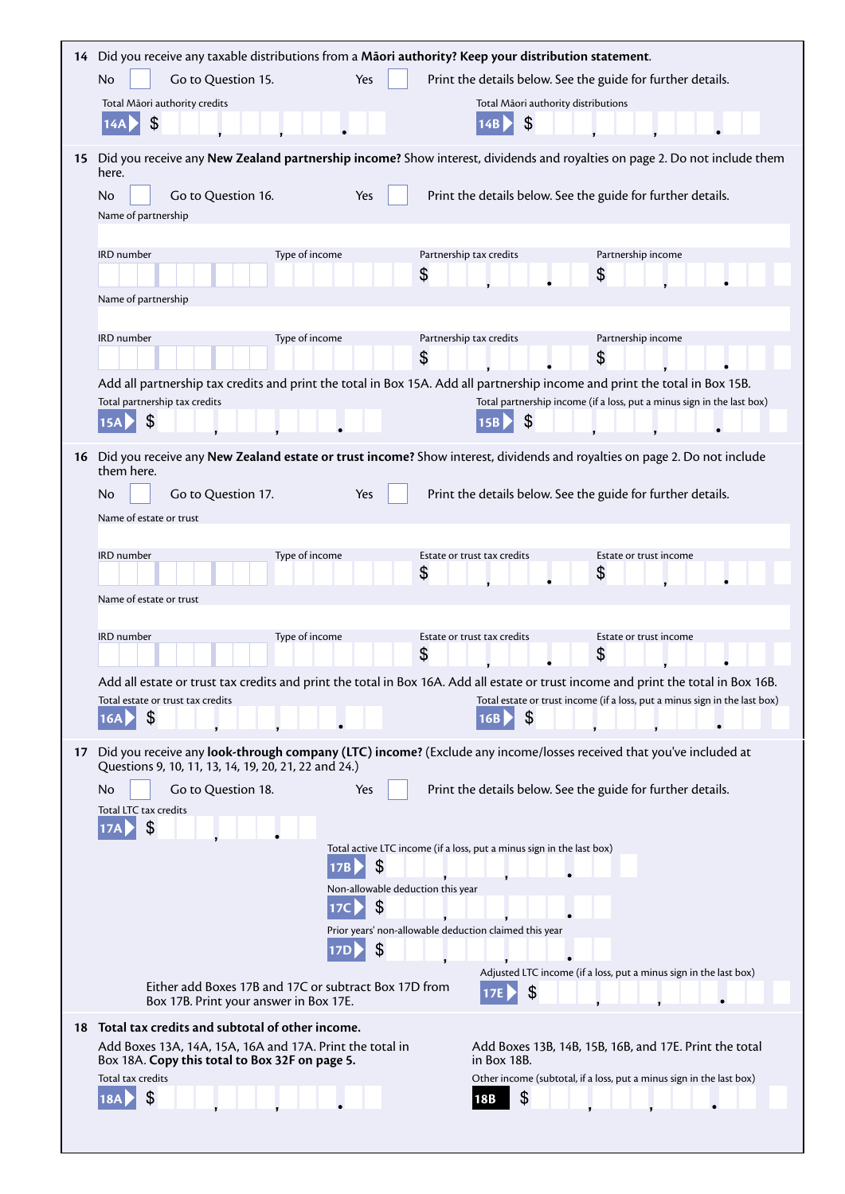|    | 14 Did you receive any taxable distributions from a Māori authority? Keep your distribution statement.                                                                                                                                                                                 |
|----|----------------------------------------------------------------------------------------------------------------------------------------------------------------------------------------------------------------------------------------------------------------------------------------|
|    | Yes<br>No<br>Go to Question 15.<br>Print the details below. See the guide for further details.                                                                                                                                                                                         |
|    | Total Māori authority credits<br>Total Māori authority distributions                                                                                                                                                                                                                   |
|    | \$<br>\$<br>14A                                                                                                                                                                                                                                                                        |
| 15 | Did you receive any New Zealand partnership income? Show interest, dividends and royalties on page 2. Do not include them<br>here.                                                                                                                                                     |
|    | <b>No</b><br>Go to Question 16.<br>Print the details below. See the guide for further details.<br>Yes<br>Name of partnership                                                                                                                                                           |
|    | IRD number<br>Type of income<br>Partnership tax credits<br>Partnership income<br>\$<br>\$<br>Name of partnership                                                                                                                                                                       |
|    |                                                                                                                                                                                                                                                                                        |
|    | Type of income<br>Partnership tax credits<br>Partnership income<br>IRD number<br>\$<br>\$                                                                                                                                                                                              |
|    | Add all partnership tax credits and print the total in Box 15A. Add all partnership income and print the total in Box 15B.                                                                                                                                                             |
|    | Total partnership tax credits<br>Total partnership income (if a loss, put a minus sign in the last box)<br>$\mathcal{L}$<br>$\mathcal{L}$<br><b>15A</b>                                                                                                                                |
| 16 | Did you receive any New Zealand estate or trust income? Show interest, dividends and royalties on page 2. Do not include<br>them here.                                                                                                                                                 |
|    | Go to Question 17.<br>Print the details below. See the guide for further details.<br>No<br>Yes                                                                                                                                                                                         |
|    | Name of estate or trust                                                                                                                                                                                                                                                                |
|    | Type of income<br>IRD number<br>Estate or trust tax credits<br>Estate or trust income                                                                                                                                                                                                  |
|    | \$<br>\$                                                                                                                                                                                                                                                                               |
|    | Name of estate or trust                                                                                                                                                                                                                                                                |
|    | IRD number<br>Type of income<br>Estate or trust tax credits<br>Estate or trust income                                                                                                                                                                                                  |
|    | \$<br>\$                                                                                                                                                                                                                                                                               |
|    | Add all estate or trust tax credits and print the total in Box 16A. Add all estate or trust income and print the total in Box 16B.<br>Total estate or trust income (if a loss, put a minus sign in the last box)<br>Total estate or trust tax credits<br>\$<br>\$<br><b>16A</b><br>16B |
| 17 | Did you receive any look-through company (LTC) income? (Exclude any income/losses received that you've included at<br>Questions 9, 10, 11, 13, 14, 19, 20, 21, 22 and 24.)                                                                                                             |
|    | Go to Question 18.<br>Print the details below. See the guide for further details.<br>No.<br>Yes                                                                                                                                                                                        |
|    | Total LTC tax credits<br>\$<br><b>17A</b>                                                                                                                                                                                                                                              |
|    | Total active LTC income (if a loss, put a minus sign in the last box)<br>\$                                                                                                                                                                                                            |
|    | Non-allowable deduction this year<br>\$<br>17 <sup>C</sup>                                                                                                                                                                                                                             |
|    | Prior years' non-allowable deduction claimed this year<br>\$                                                                                                                                                                                                                           |
|    | Adjusted LTC income (if a loss, put a minus sign in the last box)<br>Either add Boxes 17B and 17C or subtract Box 17D from<br>\$<br>17E<br>Box 17B. Print your answer in Box 17E.                                                                                                      |
| 18 | Total tax credits and subtotal of other income.                                                                                                                                                                                                                                        |
|    | Add Boxes 13A, 14A, 15A, 16A and 17A. Print the total in<br>Add Boxes 13B, 14B, 15B, 16B, and 17E. Print the total<br>Box 18A. Copy this total to Box 32F on page 5.<br>in Box 18B.                                                                                                    |
|    | Total tax credits<br>Other income (subtotal, if a loss, put a minus sign in the last box)<br>\$                                                                                                                                                                                        |
|    | 18B                                                                                                                                                                                                                                                                                    |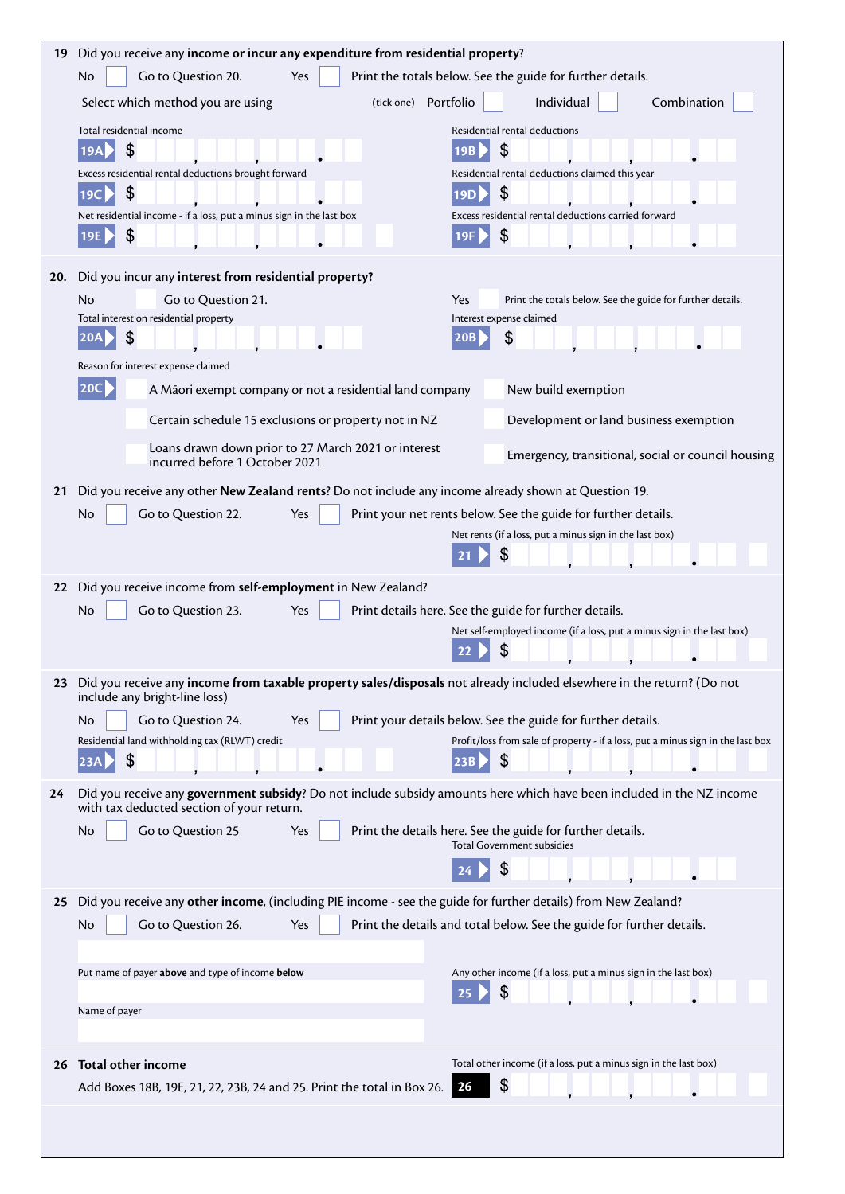| 19  | Did you receive any income or incur any expenditure from residential property?                                                                                    |  |  |  |  |
|-----|-------------------------------------------------------------------------------------------------------------------------------------------------------------------|--|--|--|--|
|     | Print the totals below. See the guide for further details.<br>Go to Question 20.<br>Yes<br>No                                                                     |  |  |  |  |
|     | Select which method you are using<br>(tick one) Portfolio<br>Individual<br>Combination                                                                            |  |  |  |  |
|     | Total residential income<br>Residential rental deductions                                                                                                         |  |  |  |  |
|     | \$<br>\$<br>19A<br>19B                                                                                                                                            |  |  |  |  |
|     | Excess residential rental deductions brought forward<br>Residential rental deductions claimed this year                                                           |  |  |  |  |
|     | \$<br>\$<br>19C                                                                                                                                                   |  |  |  |  |
|     | Excess residential rental deductions carried forward<br>Net residential income - if a loss, put a minus sign in the last box                                      |  |  |  |  |
|     | \$<br>\$<br>19E<br>19F                                                                                                                                            |  |  |  |  |
| 20. | Did you incur any interest from residential property?                                                                                                             |  |  |  |  |
|     | Go to Question 21.<br>Yes<br>Print the totals below. See the guide for further details.<br>No                                                                     |  |  |  |  |
|     | Total interest on residential property<br>Interest expense claimed                                                                                                |  |  |  |  |
|     | \$<br>\$<br><b>20A</b><br><b>20B</b>                                                                                                                              |  |  |  |  |
|     | Reason for interest expense claimed                                                                                                                               |  |  |  |  |
|     | $ 20C\rangle$<br>A Māori exempt company or not a residential land company<br>New build exemption                                                                  |  |  |  |  |
|     | Certain schedule 15 exclusions or property not in NZ<br>Development or land business exemption                                                                    |  |  |  |  |
|     | Loans drawn down prior to 27 March 2021 or interest<br>Emergency, transitional, social or council housing                                                         |  |  |  |  |
|     | incurred before 1 October 2021                                                                                                                                    |  |  |  |  |
| 21  | Did you receive any other New Zealand rents? Do not include any income already shown at Question 19.                                                              |  |  |  |  |
|     | No<br>Go to Question 22.<br>Yes<br>Print your net rents below. See the guide for further details.                                                                 |  |  |  |  |
|     | Net rents (if a loss, put a minus sign in the last box)                                                                                                           |  |  |  |  |
|     |                                                                                                                                                                   |  |  |  |  |
| 22  | Did you receive income from self-employment in New Zealand?                                                                                                       |  |  |  |  |
|     | Go to Question 23.<br>No<br>Print details here. See the guide for further details.<br>Yes                                                                         |  |  |  |  |
|     | Net self-employed income (if a loss, put a minus sign in the last box)                                                                                            |  |  |  |  |
|     |                                                                                                                                                                   |  |  |  |  |
|     | 23 Did you receive any <b>income from taxable property sales/disposals</b> not already included elsewhere in the return? (Do not<br>include any bright-line loss) |  |  |  |  |
|     | Go to Question 24.<br>Print your details below. See the guide for further details.<br>No<br>Yes                                                                   |  |  |  |  |
|     | Residential land withholding tax (RLWT) credit<br>Profit/loss from sale of property - if a loss, put a minus sign in the last box                                 |  |  |  |  |
|     | \$<br>\$<br>23A<br>23B                                                                                                                                            |  |  |  |  |
| 24  | Did you receive any government subsidy? Do not include subsidy amounts here which have been included in the NZ income                                             |  |  |  |  |
|     | with tax deducted section of your return.                                                                                                                         |  |  |  |  |
|     | Go to Question 25<br>No<br>Yes<br>Print the details here. See the guide for further details.<br><b>Total Government subsidies</b>                                 |  |  |  |  |
|     |                                                                                                                                                                   |  |  |  |  |
| 25  | Did you receive any other income, (including PIE income - see the guide for further details) from New Zealand?                                                    |  |  |  |  |
|     | Go to Question 26.<br>Print the details and total below. See the guide for further details.<br>Yes<br>No                                                          |  |  |  |  |
|     |                                                                                                                                                                   |  |  |  |  |
|     | Put name of payer above and type of income below<br>Any other income (if a loss, put a minus sign in the last box)                                                |  |  |  |  |
|     | \$                                                                                                                                                                |  |  |  |  |
|     | Name of payer                                                                                                                                                     |  |  |  |  |
|     |                                                                                                                                                                   |  |  |  |  |
| 26  | Total other income (if a loss, put a minus sign in the last box)<br>Total other income                                                                            |  |  |  |  |
|     | \$<br>26<br>Add Boxes 18B, 19E, 21, 22, 23B, 24 and 25. Print the total in Box 26.                                                                                |  |  |  |  |
|     |                                                                                                                                                                   |  |  |  |  |
|     |                                                                                                                                                                   |  |  |  |  |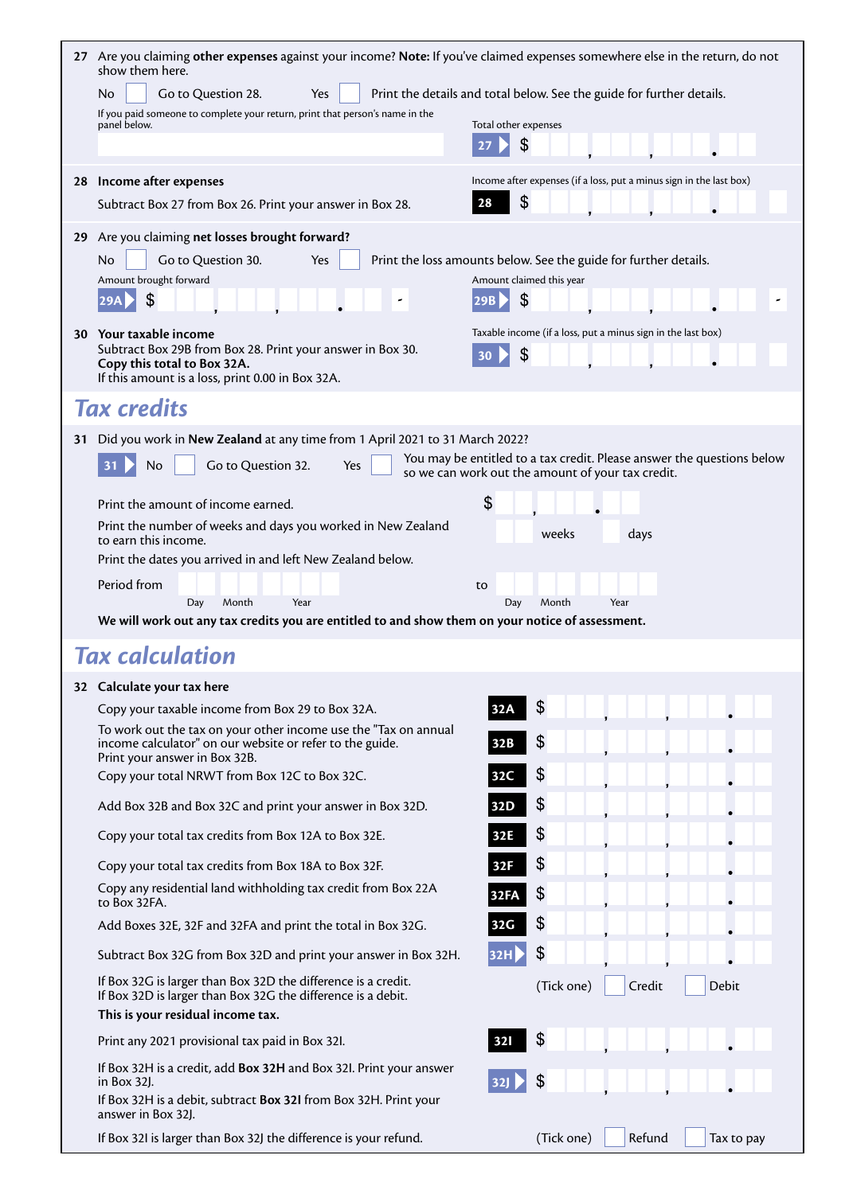|    | 27 Are you claiming other expenses against your income? Note: If you've claimed expenses somewhere else in the return, do not<br>show them here.                     |                                                                                                                             |
|----|----------------------------------------------------------------------------------------------------------------------------------------------------------------------|-----------------------------------------------------------------------------------------------------------------------------|
|    | Go to Question 28.<br>No<br>Yes                                                                                                                                      | Print the details and total below. See the guide for further details.                                                       |
|    | If you paid someone to complete your return, print that person's name in the<br>panel below.                                                                         | Total other expenses                                                                                                        |
|    |                                                                                                                                                                      | \$<br>27                                                                                                                    |
| 28 | Income after expenses                                                                                                                                                | Income after expenses (if a loss, put a minus sign in the last box)                                                         |
|    | Subtract Box 27 from Box 26. Print your answer in Box 28.                                                                                                            | $\boldsymbol{\theta}$<br>28                                                                                                 |
|    | 29 Are you claiming net losses brought forward?                                                                                                                      |                                                                                                                             |
|    | N <sub>o</sub><br>Go to Question 30.<br>Yes                                                                                                                          | Print the loss amounts below. See the guide for further details.                                                            |
|    | Amount brought forward<br>\$<br> 29A                                                                                                                                 | Amount claimed this year<br>\$                                                                                              |
|    |                                                                                                                                                                      |                                                                                                                             |
| 30 | Your taxable income<br>Subtract Box 29B from Box 28. Print your answer in Box 30.<br>Copy this total to Box 32A.<br>If this amount is a loss, print 0.00 in Box 32A. | Taxable income (if a loss, put a minus sign in the last box)<br>\$<br>30                                                    |
|    | <b>Tax credits</b>                                                                                                                                                   |                                                                                                                             |
| 31 | Did you work in New Zealand at any time from 1 April 2021 to 31 March 2022?                                                                                          |                                                                                                                             |
|    | No<br>Go to Question 32.<br>31<br>Yes                                                                                                                                | You may be entitled to a tax credit. Please answer the questions below<br>so we can work out the amount of your tax credit. |
|    | Print the amount of income earned.                                                                                                                                   | \$                                                                                                                          |
|    | Print the number of weeks and days you worked in New Zealand<br>to earn this income.                                                                                 | weeks<br>days                                                                                                               |
|    | Print the dates you arrived in and left New Zealand below.<br>Period from                                                                                            |                                                                                                                             |
|    |                                                                                                                                                                      | to                                                                                                                          |
|    | Day<br>Month<br>Year                                                                                                                                                 | Day<br>Month<br>Year                                                                                                        |
|    | We will work out any tax credits you are entitled to and show them on your notice of assessment.                                                                     |                                                                                                                             |
|    | <b>Tax calculation</b>                                                                                                                                               |                                                                                                                             |
|    | 32 Calculate your tax here                                                                                                                                           |                                                                                                                             |
|    | Copy your taxable income from Box 29 to Box 32A.                                                                                                                     | \$<br>32A                                                                                                                   |
|    | To work out the tax on your other income use the "Tax on annual<br>income calculator" on our website or refer to the guide.<br>Print your answer in Box 32B.         | $\frac{2}{3}$<br>32B                                                                                                        |
|    | Copy your total NRWT from Box 12C to Box 32C.                                                                                                                        | \$<br>32C                                                                                                                   |
|    | Add Box 32B and Box 32C and print your answer in Box 32D.                                                                                                            | \$<br>32D                                                                                                                   |
|    | Copy your total tax credits from Box 12A to Box 32E.                                                                                                                 | \$<br>32E                                                                                                                   |
|    | Copy your total tax credits from Box 18A to Box 32F.                                                                                                                 | \$<br>32F                                                                                                                   |
|    | Copy any residential land withholding tax credit from Box 22A<br>to Box 32FA.                                                                                        | \$<br><b>32FA</b>                                                                                                           |
|    | Add Boxes 32E, 32F and 32FA and print the total in Box 32G.                                                                                                          | \$<br>32G                                                                                                                   |
|    | Subtract Box 32G from Box 32D and print your answer in Box 32H.                                                                                                      | \$<br>32H                                                                                                                   |
|    | If Box 32G is larger than Box 32D the difference is a credit.<br>If Box 32D is larger than Box 32G the difference is a debit.<br>This is your residual income tax.   | (Tick one)<br>Credit<br><b>Debit</b>                                                                                        |
|    | Print any 2021 provisional tax paid in Box 32I.                                                                                                                      | \$<br><b>321</b>                                                                                                            |
|    | If Box 32H is a credit, add Box 32H and Box 32I. Print your answer<br>in Box 32J.                                                                                    | \$<br>321                                                                                                                   |
|    | If Box 32H is a debit, subtract Box 32I from Box 32H. Print your<br>answer in Box 32J.<br>If Box 32I is larger than Box 32J the difference is your refund.           |                                                                                                                             |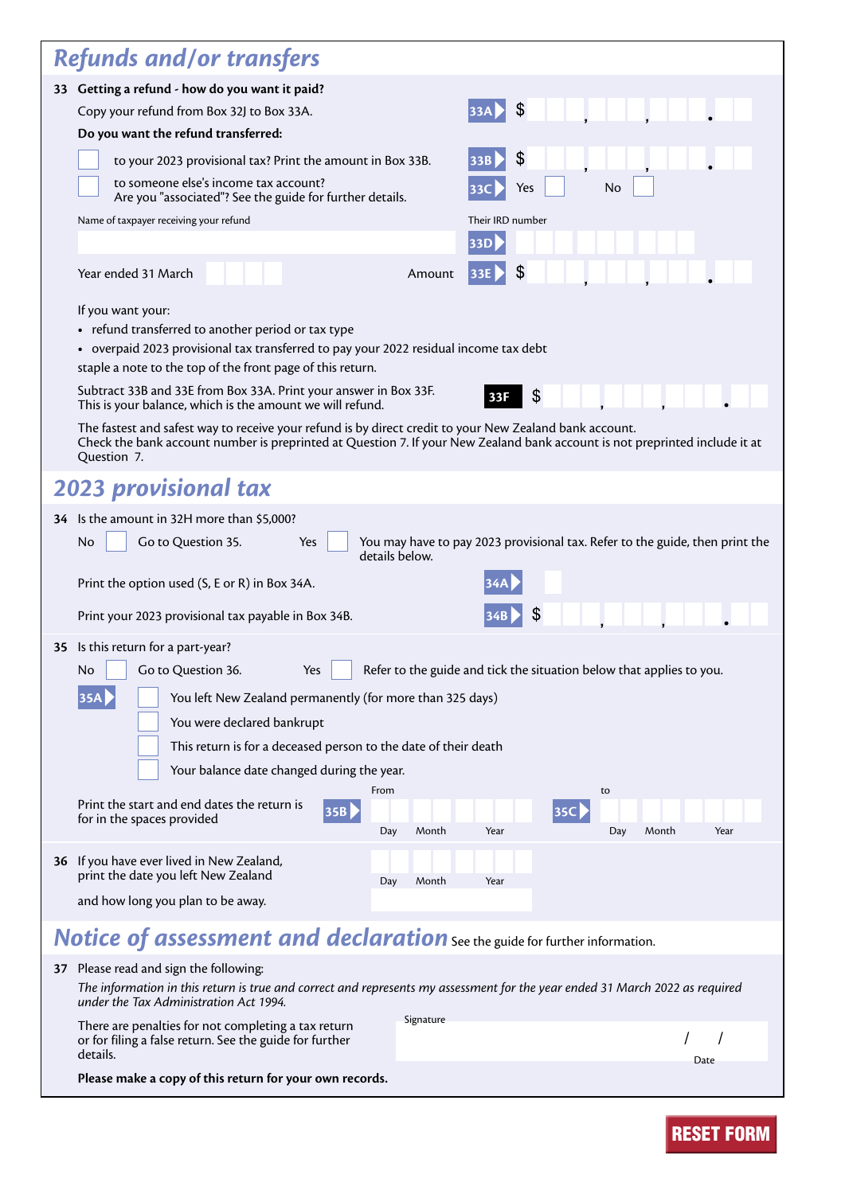| <b>Refunds and/or transfers</b>                                                                                                                                                                                                                                                                                                                                                                                                                                                                                                                                                                                                                                                                                                                                                                                                                                                                                                                                                                                                                                                                                |  |  |  |  |
|----------------------------------------------------------------------------------------------------------------------------------------------------------------------------------------------------------------------------------------------------------------------------------------------------------------------------------------------------------------------------------------------------------------------------------------------------------------------------------------------------------------------------------------------------------------------------------------------------------------------------------------------------------------------------------------------------------------------------------------------------------------------------------------------------------------------------------------------------------------------------------------------------------------------------------------------------------------------------------------------------------------------------------------------------------------------------------------------------------------|--|--|--|--|
| 33 Getting a refund - how do you want it paid?<br>\$<br><b>33A</b><br>Copy your refund from Box 32J to Box 33A.<br>Do you want the refund transferred:<br>\$<br>to your 2023 provisional tax? Print the amount in Box 33B.<br>33B<br>to someone else's income tax account?<br>No<br>Yes<br>33C<br>Are you "associated"? See the guide for further details.<br>Name of taxpayer receiving your refund<br>Their IRD number<br>33D<br>\$<br>Year ended 31 March<br>Amount<br><b>33E</b><br>If you want your:<br>• refund transferred to another period or tax type<br>• overpaid 2023 provisional tax transferred to pay your 2022 residual income tax debt<br>staple a note to the top of the front page of this return.<br>Subtract 33B and 33E from Box 33A. Print your answer in Box 33F.<br>\$<br>33F<br>This is your balance, which is the amount we will refund.<br>The fastest and safest way to receive your refund is by direct credit to your New Zealand bank account.<br>Check the bank account number is preprinted at Question 7. If your New Zealand bank account is not preprinted include it at |  |  |  |  |
| Question 7.                                                                                                                                                                                                                                                                                                                                                                                                                                                                                                                                                                                                                                                                                                                                                                                                                                                                                                                                                                                                                                                                                                    |  |  |  |  |
| <b>2023 provisional tax</b>                                                                                                                                                                                                                                                                                                                                                                                                                                                                                                                                                                                                                                                                                                                                                                                                                                                                                                                                                                                                                                                                                    |  |  |  |  |
| 34 Is the amount in 32H more than \$5,000?<br>Go to Question 35.<br>You may have to pay 2023 provisional tax. Refer to the guide, then print the<br>No<br>Yes<br>details below.<br>Print the option used (S, E or R) in Box 34A.<br>34B<br>Print your 2023 provisional tax payable in Box 34B.                                                                                                                                                                                                                                                                                                                                                                                                                                                                                                                                                                                                                                                                                                                                                                                                                 |  |  |  |  |
| 35 Is this return for a part-year?<br>Refer to the guide and tick the situation below that applies to you.<br>Go to Question 36.<br>Yes<br>No.<br>35A<br>You left New Zealand permanently (for more than 325 days)<br>You were declared bankrupt<br>This return is for a deceased person to the date of their death<br>Your balance date changed during the year.<br>From<br>to<br>Print the start and end dates the return is<br> 35B <br><b>35C</b><br>for in the spaces provided<br>Day<br>Month<br>Year<br>Day<br>Month<br>Year                                                                                                                                                                                                                                                                                                                                                                                                                                                                                                                                                                            |  |  |  |  |
| 36 If you have ever lived in New Zealand,<br>print the date you left New Zealand<br>Month<br>Year<br>Day<br>and how long you plan to be away.                                                                                                                                                                                                                                                                                                                                                                                                                                                                                                                                                                                                                                                                                                                                                                                                                                                                                                                                                                  |  |  |  |  |
| <b>Notice of assessment and declaration</b> See the guide for further information.                                                                                                                                                                                                                                                                                                                                                                                                                                                                                                                                                                                                                                                                                                                                                                                                                                                                                                                                                                                                                             |  |  |  |  |
| 37 Please read and sign the following:<br>The information in this return is true and correct and represents my assessment for the year ended 31 March 2022 as required<br>under the Tax Administration Act 1994.<br>Signature<br>There are penalties for not completing a tax return<br>or for filing a false return. See the guide for further                                                                                                                                                                                                                                                                                                                                                                                                                                                                                                                                                                                                                                                                                                                                                                |  |  |  |  |
| details.<br>Date<br>Please make a copy of this return for your own records.                                                                                                                                                                                                                                                                                                                                                                                                                                                                                                                                                                                                                                                                                                                                                                                                                                                                                                                                                                                                                                    |  |  |  |  |

| <b>RESET FORM</b> |  |  |  |
|-------------------|--|--|--|
|                   |  |  |  |